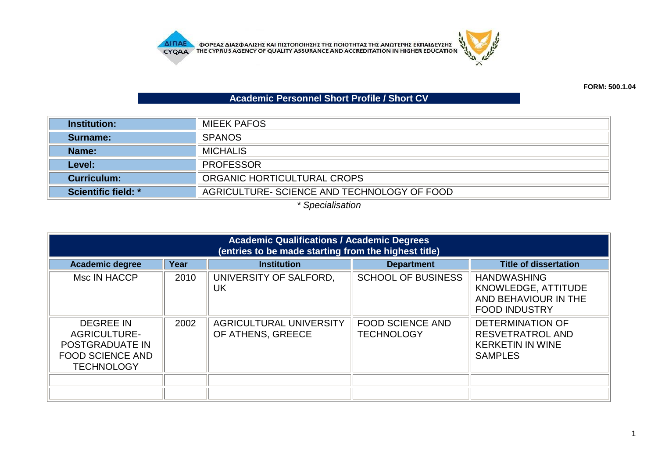

## **Academic Personnel Short Profile / Short CV**

| <b>Institution:</b> | <b>MIEEK PAFOS</b>                          |  |
|---------------------|---------------------------------------------|--|
| Surname:            | <b>SPANOS</b>                               |  |
| Name:               | <b>MICHALIS</b>                             |  |
| Level:              | <b>PROFESSOR</b>                            |  |
| <b>Curriculum:</b>  | ORGANIC HORTICULTURAL CROPS                 |  |
| Scientific field: * | AGRICULTURE- SCIENCE AND TECHNOLOGY OF FOOD |  |

*\* Specialisation*

| <b>Academic Qualifications / Academic Degrees</b><br>(entries to be made starting from the highest title)  |      |                                              |                                              |                                                                                                 |
|------------------------------------------------------------------------------------------------------------|------|----------------------------------------------|----------------------------------------------|-------------------------------------------------------------------------------------------------|
| <b>Academic degree</b>                                                                                     | Year | <b>Institution</b>                           | <b>Department</b>                            | <b>Title of dissertation</b>                                                                    |
| Msc IN HACCP                                                                                               | 2010 | UNIVERSITY OF SALFORD,<br>UK                 | <b>SCHOOL OF BUSINESS</b>                    | <b>HANDWASHING</b><br>KNOWLEDGE, ATTITUDE<br>AND BEHAVIOUR IN THE<br><b>FOOD INDUSTRY</b>       |
| <b>DEGREE IN</b><br><b>AGRICULTURE-</b><br>POSTGRADUATE IN<br><b>FOOD SCIENCE AND</b><br><b>TECHNOLOGY</b> | 2002 | AGRICULTURAL UNIVERSITY<br>OF ATHENS, GREECE | <b>FOOD SCIENCE AND</b><br><b>TECHNOLOGY</b> | <b>DETERMINATION OF</b><br><b>RESVETRATROL AND</b><br><b>KERKETIN IN WINE</b><br><b>SAMPLES</b> |
|                                                                                                            |      |                                              |                                              |                                                                                                 |
|                                                                                                            |      |                                              |                                              |                                                                                                 |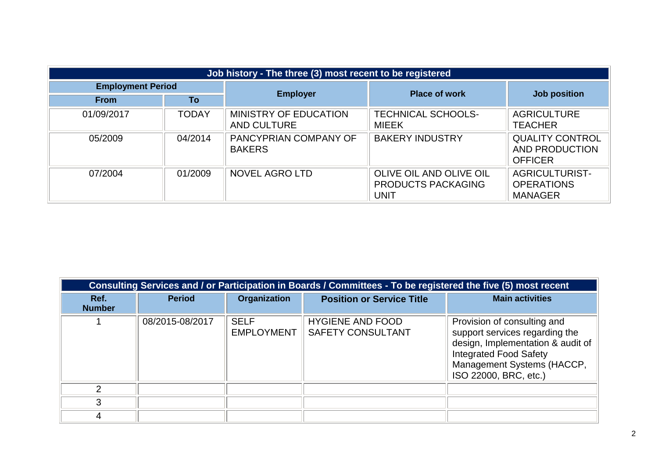| Job history - The three (3) most recent to be registered |              |                                                    |                                                              |                                                              |
|----------------------------------------------------------|--------------|----------------------------------------------------|--------------------------------------------------------------|--------------------------------------------------------------|
| <b>Employment Period</b>                                 |              | <b>Employer</b>                                    | <b>Place of work</b>                                         | Job position                                                 |
| <b>From</b>                                              | To           |                                                    |                                                              |                                                              |
| 01/09/2017                                               | <b>TODAY</b> | <b>MINISTRY OF EDUCATION</b><br><b>AND CULTURE</b> | <b>TECHNICAL SCHOOLS-</b><br><b>MIEEK</b>                    | <b>AGRICULTURE</b><br><b>TEACHER</b>                         |
| 05/2009                                                  | 04/2014      | PANCYPRIAN COMPANY OF<br><b>BAKERS</b>             | <b>BAKERY INDUSTRY</b>                                       | <b>QUALITY CONTROL</b><br>AND PRODUCTION<br><b>OFFICER</b>   |
| 07/2004                                                  | 01/2009      | <b>NOVEL AGRO LTD</b>                              | OLIVE OIL AND OLIVE OIL<br><b>PRODUCTS PACKAGING</b><br>UNIT | <b>AGRICULTURIST-</b><br><b>OPERATIONS</b><br><b>MANAGER</b> |

|                       | Consulting Services and / or Participation in Boards / Committees - To be registered the five (5) most recent |                                  |                                                     |                                                                                                                                                                                            |  |
|-----------------------|---------------------------------------------------------------------------------------------------------------|----------------------------------|-----------------------------------------------------|--------------------------------------------------------------------------------------------------------------------------------------------------------------------------------------------|--|
| Ref.<br><b>Number</b> | <b>Period</b>                                                                                                 | <b>Organization</b>              | <b>Position or Service Title</b>                    | <b>Main activities</b>                                                                                                                                                                     |  |
|                       | 08/2015-08/2017                                                                                               | <b>SELF</b><br><b>EMPLOYMENT</b> | <b>HYGIENE AND FOOD</b><br><b>SAFETY CONSULTANT</b> | Provision of consulting and<br>support services regarding the<br>design, Implementation & audit of<br><b>Integrated Food Safety</b><br>Management Systems (HACCP,<br>ISO 22000, BRC, etc.) |  |
| $\mathcal{D}$         |                                                                                                               |                                  |                                                     |                                                                                                                                                                                            |  |
| 3                     |                                                                                                               |                                  |                                                     |                                                                                                                                                                                            |  |
|                       |                                                                                                               |                                  |                                                     |                                                                                                                                                                                            |  |